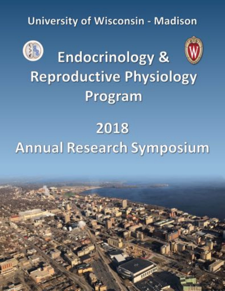**University of Wisconsin - Madison** 



# 2018 **Annual Research Symposium**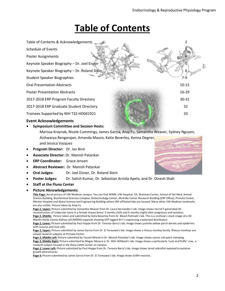### **Table of Contents**



• **Symposium Committee and Session Hosts:** 

Marissa Kraynak, Nicole Cummings, James Garcia, Anqi Fu, Samantha Weaver, Sydney Nguyen,

Aishwarya Rengarajan, Amanda Mauro, Katie Beverley, Kenna Degner, and Jessica Vazquez • **Program Director:** Dr. Ian Bird

- **Associate Director:** Dr. Manish Patankar
- **ERP Coordinator:** Grace Jensen
- **Abstract Reviewer:** Dr. Manish Patankar
- **Oral Judges:** Dr. Joel Eisner, Dr. Roland Stein
- **Poster Judges:** Dr. Satish Kumar, Dr. Sebastian Arriola Apelo, and Dr. Dinesh Shah
- **Staff at the Fluno Center**

#### • **Picture Aknowledgements:**

**Title Page:** Aerial picture of UW-Madison campus. You can find WIMR, UW Hospital, VA, Waisman Center, School of Vet Med, Animal Science Building, Biochemical Sciences Complex, Biotechnology Center, McArdle Cancer Research Building (ERP Office), Primate Center, Meriter Hospital and Water Science and Engineering Building where ERP affiliated labs are housed. Many other UW-Madison landmarks are also visible. Picture taken by Anqi Fu.

**Page 2, Upper:** Picture submitted by Samantha Weaver from Dr. Laura Hernandez's lab. Image shows microCT-generated 3D reconstruction of trabecular bone in a female mouse femur 3 months (left) and 9 months (right) after pregnancy and lactation. **Page 2, Middle:** Picture taken and submitted by Katie Beverley from Dr. Bikash Pattnaik's lab. This is a confocal z-stack image of a 3D Mardin Darby Canine Kidney cell (MDDK) organoid showing GFP tagged Kir7.1 expressing a polarized distribution.

**Page 2, Lower:** Picture submitted by Paul Hoppe from Dr. Terence Barry's lab. Image shows juvenile yellow perch dermis and epidermis with mucous and club cells.

**Page 3, Upper:** Picture submitted by James Garcia from Dr. Ei Terasawa's lab. Image shows a rhesus monkey family. Rhesus monkeys are valued research subjects at Primate Center.

**Page 3, Middle Left:** Picture submitted by Yousef Alharbi in Dr. Manish Patankar's lab. Image shows cancer cell patch clamping. **Page 3, Middle Right:** Picture submitted by Megan Mezera in Dr. Milo Wiltbank's lab. Image shows a particularly "cute and fluffy" cow, a research subject housed in the Diary Cattle Center on campus.

**Page 3, Lower Left:** Picture submitted by Paul Hoppe from Dr. Terence Barry's lab. Image shows larval zebrafish exposed to putative growth pheromones.

**Page 4:** Picture submitted by James Garcia from Dr. Ei Teresawa's lab. Image shows GnRH neurons.

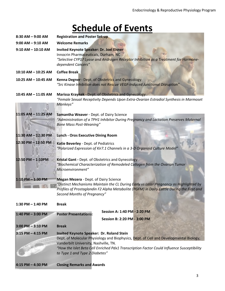### **Schedule of Events**

| $8:30$ AM $-$ 9:00 AM   | <b>Registration and Poster Set-up</b>                                                                                                                                                                                                                       |  |  |
|-------------------------|-------------------------------------------------------------------------------------------------------------------------------------------------------------------------------------------------------------------------------------------------------------|--|--|
| $9:00$ AM $-9:10$ AM    | <b>Welcome Remarks</b>                                                                                                                                                                                                                                      |  |  |
| $9:10$ AM $-$ 10:10 AM  | <b>Invited Keynote Speaker: Dr. Joel Eisner</b><br>Innocrin Pharmaceuticals, Durham, NC<br>"Selective CYP17 Lyase and Androgen Receptor Inhibition as a Treatment for Hormone-<br>dependent Cancers"                                                        |  |  |
| $10:10$ AM $-$ 10:25 AM | <b>Coffee Break</b>                                                                                                                                                                                                                                         |  |  |
| 10:25 AM - 10:45 AM     | Kenna Degner - Dept. of Obstetrics and Gynecology<br>"Src Kinase Inhibition does not Rescue VEGF-Induced Junctional Disruption"                                                                                                                             |  |  |
| 10:45 AM - 11:05 AM     | Marissa Kraynak - Dept. of Obstetrics and Gynecology<br>"Female Sexual Receptivity Depends Upon Extra-Ovarian Estradiol Synthesis in Marmoset<br>Monkeys"                                                                                                   |  |  |
| 11:05 AM - 11:25 AM     | Samantha Weaver - Dept. of Dairy Science<br>"Administration of a TPH1 Inhibitor During Pregnancy and Lactation Preserves Maternal<br><b>Bone Mass Post-Weaning"</b>                                                                                         |  |  |
| 11:30 AM - 12:30 PM     | Lunch - Oros Executive Dining Room                                                                                                                                                                                                                          |  |  |
| 12:30 PM - 12:50 PM     | Katie Beverley - Dept. of Pediatrics<br>"Polarized Expression of Kir7.1 Channels in a 3-D Organoid Culture Model"                                                                                                                                           |  |  |
| 12:50 PM - 1:10PM       | Kristal Gant - Dept. of Obstetrics and Gynecology<br>"Biochemical Characterization of Remodeled Collagen from the Ovarian Tumor<br>Microenvironment"                                                                                                        |  |  |
| 1:10 PM - 1:30 PM       | Megan Mezera - Dept. of Dairy Science<br>"Distinct Mechanisms Maintain the CL During Early vs Later Pregnancy as Highlighted by<br>Profiles of Prostaglandin F2 Alpha Metabolite (PGFM) in Dairy Cattle During the First and<br>Second Months of Pregnancy" |  |  |
| 1:30 PM $-$ 1:40 PM     | <b>Break</b>                                                                                                                                                                                                                                                |  |  |
| $1:40$ PM $-3:00$ PM    | Session A: 1:40 PM - 2:20 PM<br><b>Poster Presentations:</b>                                                                                                                                                                                                |  |  |
|                         | Session B: 2:20 PM - 3:00 PM                                                                                                                                                                                                                                |  |  |
| $3:00$ PM $-3:10$ PM    | <b>Break</b>                                                                                                                                                                                                                                                |  |  |
| $3:15$ PM $-$ 4:15 PM   | <b>Invited Keynote Speaker: Dr. Roland Stein</b><br>Dept. of Molecular Physiology and Biophysics, Dept. of Cell and Developmental Biology,                                                                                                                  |  |  |
|                         | Vanderbilt University, Nashville, TN.<br>"How the Islet Beta Cell Enriched Pdx1 Transcription Factor Could Influence Susceptibility<br>to Type 1 and Type 2 Diabetes"                                                                                       |  |  |
| 4:15 PM - 4:30 PM       | <b>Closing Remarks and Awards</b>                                                                                                                                                                                                                           |  |  |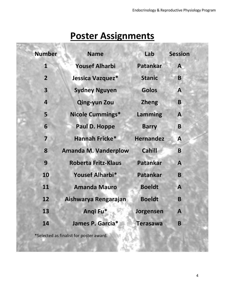# **Poster Assignments**

| <b>Number</b>                           | <b>Name</b>                 | Lab              | <b>Session</b> |  |
|-----------------------------------------|-----------------------------|------------------|----------------|--|
| $\mathbf{1}$                            | <b>Yousef Alharbi</b>       | <b>Patankar</b>  | A              |  |
| $\overline{2}$                          | Jessica Vazquez*            | <b>Stanic</b>    | B              |  |
| $\overline{\mathbf{3}}$                 | <b>Sydney Nguyen</b>        | <b>Golos</b>     | A              |  |
| $\overline{\mathbf{r}}$                 | <b>Qing-yun Zou</b>         | <b>Zheng</b>     | B              |  |
| 5                                       | <b>Nicole Cummings*</b>     | Lamming          | $\mathbf{A}$   |  |
| 6                                       | Paul D. Hoppe               | <b>Barry</b>     | B              |  |
| $\overline{\mathbf{z}}$                 | Hannah Fricke*              | <b>Hernandez</b> | A              |  |
| 8                                       | <b>Amanda M. Vanderplow</b> | <b>Cahill</b>    | B              |  |
| 9                                       | <b>Roberta Fritz-Klaus</b>  | <b>Patankar</b>  | A              |  |
| 10                                      | Yousef Alharbi*             | <b>Patankar</b>  | B              |  |
| 11                                      | <b>Amanda Mauro</b>         | <b>Boeldt</b>    | $\mathbf{A}$   |  |
| 12                                      | Aishwarya Rengarajan        | <b>Boeldt</b>    | B              |  |
| 13                                      | Angi Fu*                    | Jorgensen        | $\mathbf{A}$   |  |
| 14                                      | James P. Garcia*            | <b>Terasawa</b>  | B              |  |
| *Selected as finalist for poster award. |                             |                  |                |  |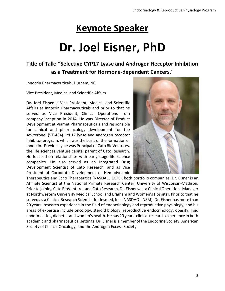# **Keynote Speaker**

# **Dr. Joel Eisner, PhD**

### **Title of Talk: "Selective CYP17 Lyase and Androgen Receptor Inhibition as a Treatment for Hormone-dependent Cancers."**

Innocrin Pharmaceuticals, Durham, NC

Vice President, Medical and Scientific Affairs

**Dr. Joel Eisner** is Vice President, Medical and Scientific Affairs at Innocrin Pharmaceuticals and prior to that he served as Vice President, Clinical Operations from company inception in 2014. He was Director of Product Development at Viamet Pharmaceuticals and responsible for clinical and pharmacology development for the seviteronel (VT-464) CYP17 lyase and androgen receptor inhibitor program, which was the basis of the formation of Innocrin. Previously he was Principal of Cato BioVentures, the life sciences venture capital parent of Cato Research. He focused on relationships with early-stage life science companies. He also served as an Integrated Drug Development Scientist of Cato Research, and as Vice President of Corporate Development of Hemodynamic



Therapeutics and Echo Therapeutics (NASDAQ: ECTE), both portfolio companies. Dr. Eisner is an Affiliate Scientist at the National Primate Research Center, University of Wisconsin-Madison. Prior to joining Cato BioVentures and Cato Research, Dr. Eisner was a Clinical Operations Manager at Northwestern University Medical School and Brigham and Women's Hospital. Prior to that he served as a Clinical Research Scientist for Insmed, Inc. (NASDAQ: INSM). Dr. Eisner has more than 20 years' research experience in the field of endocrinology and reproductive physiology, and his areas of expertise include oncology, steroid biology, reproductive endocrinology, obesity, lipid abnormalities, diabetes and women's health. He has 20 years' clinical research experience in both academic and pharmaceutical settings. Dr. Eisner is a member of the Endocrine Society, American Society of Clinical Oncology, and the Androgen Excess Society.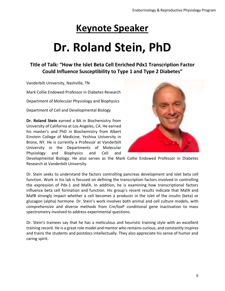# **Keynote Speaker**

# **Dr. Roland Stein, PhD**

### **Title of Talk: "How the Islet Beta Cell Enriched Pdx1 Transcription Factor Could Influence Susceptibility to Type 1 and Type 2 Diabetes"**

Vanderbilt University, Nashville, TN

Mark Collie Endowed Professor in Diabetes Research

Department of Molecular Physiology and Biophysics

Department of Cell and Developmental Biology

**Dr. Roland Stein** earned a BA in Biochemistry from University of California at Los Angeles, CA. He earned his master's and PhD in Biochemistry from Albert Einstein College of Medicine, Yeshiva University in Bronx, NY. He is currently a Professor at Vanderbilt University in the Departments of Molecular Physiology and Biophysics and Cell and



Developmental Biology. He also serves as the Mark Collie Endowed Professor in Diabetes Research at Vanderbilt University.

Dr. Stein seeks to understand the factors controlling pancreas development and islet beta cell function. Work in his lab is focused on defining the transcription factors involved in controlling the expression of Pdx-1 and MafA. In addition, he is examining how transcriptional factors influence beta cell formation and function. His group's recent results indicate that MafA and MafB strongly impact whether a cell becomes a producer in the islet of the insulin (beta) or glucagon (alpha) hormone. Dr. Stein's work involves both animal and cell culture models, with comprehensive and diverse methods from Cre/loxP conditional gene inactivation to mass spectrometry involved to address experimental questions.

Dr. Stein's trainees say that he has a meticulous and heuristic training style with an excellent training record. He is a great role model and mentor who remains curious, and constantly inspires and trains the students and postdocs intellectually. They also appreciate his sense of humor and caring spirit.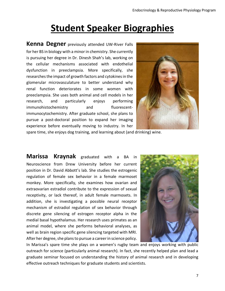## **Student Speaker Biographies**

**Kenna Degner** previously attended UW-River Falls for her BS in biology with a minor in chemistry. She currently is pursuing her degree in Dr. Dinesh Shah's lab, working on the cellular mechanisms associated with endothelial dysfunction in preeclampsia. More specifically, she researches the impact of growth factors and cytokines in the glomerular microvasculature to better understand why renal function deteriorates in some women with preeclampsia. She uses both animal and cell models in her research, and particularly enjoys performing immunohistochemistry and fluorescentimmunocytochemistry. After graduate school, she plans to pursue a post-doctoral position to expand her imaging experience before eventually moving to industry. In her



spare time, she enjoys dog training, and learning about (and drinking) wine.

**Marissa Kraynak** graduated with a BA Neuroscience from Drew University before her current position in Dr. David Abbott's lab. She studies the estrogenic regulation of female sex behavior in a female marmoset monkey. More specifically, she examines how ovarian and extraovarian estradiol contribute to the expression of sexual receptivity, or lack thereof, in adult female marmosets. In addition, she is investigating a possible neural receptor mechanism of estradiol regulation of sex behavior through discrete gene silencing of estrogen receptor alpha in the medial basal hypothalamus. Her research uses primates as an animal model, where she performs behavioral analyses, as well as brain region specific gene silencing targeted with MRI. After her degree, she plans to pursue a career in science policy.



In Marissa's spare time she plays on a women's rugby team and enjoys working with public outreach for science (particularly animal research). In fact, she recently helped plan and lead a graduate seminar focused on understanding the history of animal research and in developing effective outreach techniques for graduate students and scientists.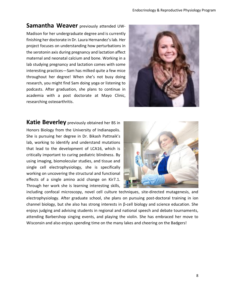### **Samantha Weaver** previously attended UW-

Madison for her undergraduate degree and is currently finishing her doctorate in Dr. Laura Hernandez's lab. Her project focuses on understanding how perturbations in the serotonin axis during pregnancy and lactation affect maternal and neonatal calcium and bone. Working in a lab studying pregnancy and lactation comes with some interesting practices—Sam has milked quite a few mice throughout her degree! When she's not busy doing research, you might find Sam doing yoga or listening to podcasts. After graduation, she plans to continue in academia with a post doctorate at Mayo Clinic, researching osteoarthritis.



**Katie Beverley** previously obtained her BS in Honors Biology from the University of Indianapolis. She is pursuing her degree in Dr. Bikash Pattnaik's lab, working to identify and understand mutations that lead to the development of LCA16, which is critically important to curing pediatric blindness. By using imaging, biomolecular studies, and tissue and single cell electrophysiology, she is specifically working on uncovering the structural and functional effects of a single amino acid change on Kir7.1. Through her work she is learning interesting skills,



including confocal microscopy, novel cell culture techniques, site-directed mutagenesis, and electrophysiology. After graduate school, she plans on pursuing post-doctoral training in ion channel biology, but she also has strong interests in β-cell biology and science education. She enjoys judging and advising students in regional and national speech and debate tournaments, attending Barbershop singing events, and playing the violin. She has embraced her move to Wisconsin and also enjoys spending time on the many lakes and cheering on the Badgers!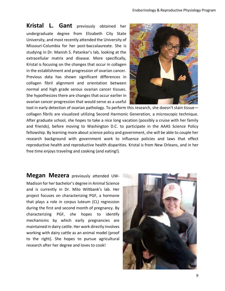**Kristal L. Gant** previously obtained her undergraduate degree from Elizabeth City State University, and most recently attended the University of Missouri-Columbia for her post-baccalaureate. She is studying in Dr. Manish S. Patankar's lab, looking at the extracellular matrix and disease. More specifically, Kristal is focusing on the changes that occur in collagen in the establishment and progression of ovarian cancer. Previous data has shown significant differences in collagen fibril alignment and orientation between normal and high grade serous ovarian cancer tissues. She hypothesizes there are changes that occur earlier in ovarian cancer progression that would serve as a useful



tool in early detection of ovarian pathology. To perform this research, she doesn't stain tissue collagen fibrils are visualized utilizing Second Harmonic Generation, a microscopic technique. After graduate school, she hopes to take a nice long vacation (possibly a cruise with her family and friends), before moving to Washington D.C. to participate in the AAAS Science Policy fellowship. By learning more about science policy and government, she will be able to couple her research background with government work to influence policies and laws that effect reproductive health and reproductive health disparities. Kristal is from New Orleans, and in her free time enjoys traveling and cooking (and eating!).

**Megan Mezera** previously attended UW-Madison for her bachelor's degree in Animal Science and is currently in Dr. Milo Wiltbank's lab. Her project focuses on characterizing PGF, a hormone that plays a role in corpus luteum (CL) regression during the first and second month of pregnancy. By characterizing PGF, she hopes to identify mechanisms by which early pregnancies are maintained in dairy cattle. Her work directly involves working with dairy cattle as an animal model (proof to the right). She hopes to pursue agricultural research after her degree and loves to cook!

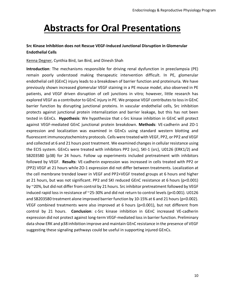# **Abstracts for Oral Presentations**

#### **Src Kinase Inhibition does not Rescue VEGF-Induced Junctional Disruption in Glomerular Endothelial Cells**

#### Kenna Degner, Cynthia Bird, Ian Bird, and Dinesh Shah

**Introduction**: The mechanisms responsible for driving renal dysfunction in preeclampsia (PE) remain poorly understood making therapeutic intervention difficult. In PE, glomerular endothelial cell (GEnC) injury leads to a breakdown of barrier function and proteinuria. We have previously shown increased glomerular VEGF staining in a PE mouse model, also observed in PE patients, and VEGF driven disruption of cell junctions in vitro; however, little research has explored VEGF as a contributor to GEnC injury in PE. We propose VEGF contributes to loss in GEnC barrier function by disrupting junctional proteins. In vascular endothelial cells, Src inhibition protects against junctional protein internalization and barrier leakage, but this has not been tested in GEnCs. **Hypothesis**: We hypothesize that c-Src kinase inhibition in GEnC will protect against VEGF-mediated GEnC junctional protein breakdown. **Methods**: VE-cadherin and ZO-1 expression and localization was examined in GEnCs using standard western blotting and fluorescent immunocytochemistry protocols. Cells were treated with VEGF, PP2, or PP2 and VEGF and collected at 6 and 21 hours post treatment. We examined changes in cellular resistance using the ECIS system. GEnCs were treated with inhibitors PP2 (src), SKI-1 (src), U0126 (ERK1/2) and SB203580 (p38) for 24 hours. Follow up experiments included pretreatment with inhibitors followed by VEGF. **Results**: VE-cadherin expression was increased in cells treated with PP2 or (PP2) VEGF at 21 hours while ZO-1 expression did not differ between treatments. Localization at the cell membrane trended lower in VEGF and PP2+VEGF treated groups at 6 hours and higher at 21 hours, but was not significant. PP2 and SKI reduced GEnC resistance at 6 hours (p<0.001) by ~20%, but did not differ from control by 21 hours. Src inhibitor pretreatment followed by VEGF induced rapid loss in resistance of ~25-30% and did not return to control levels (p<0.001). U0126 and SB203580 treatment alone improved barrier function by 10-15% at 6 and 21 hours (p<0.002). VEGF combined treatments were also improved at 6 hours (p<0.001), but not different from control by 21 hours. **Conclusion**: c-Src kinase inhibition in GEnC increased VE-cadherin expression did not protect against long-term VEGF-mediated loss in barrier function. Preliminary data show ERK and p38 inhibition improve and maintain GEnC resistance in the presence of VEGF suggesting these signaling pathways could be useful in supporting injured GEnCs.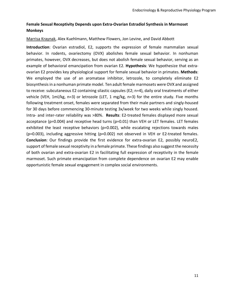#### **Female Sexual Receptivity Depends upon Extra-Ovarian Estradiol Synthesis in Marmoset Monkeys**

#### Marrisa Kraynak, Alex Kuehlmann, Matthew Flowers, Jon Levine, and David Abbott

**Introduction**: Ovarian estradiol, E2, supports the expression of female mammalian sexual behavior. In rodents, ovariectomy (OVX) abolishes female sexual behavior. In nonhuman primates, however, OVX decreases, but does not abolish female sexual behavior, serving as an example of behavioral emancipation from ovarian E2. **Hypothesis**: We hypothesize that extraovarian E2 provides key physiological support for female sexual behavior in primates. **Methods**: We employed the use of an aromatase inhibitor, letrozole, to completely eliminate E2 biosynthesis in a nonhuman primate model. Ten adult female marmosets were OVX and assigned to receive: subcutaneous E2 containing silastic capsules (E2; n=4), daily oral treatments of either vehicle (VEH, 1ml/kg, n=3) or letrozole (LET, 1 mg/kg, n=3) for the entire study. Five months following treatment onset, females were separated from their male partners and singly-housed for 30 days before commencing 30-minute testing 3x/week for two weeks while singly housed. Intra- and inter-rater reliability was >80%. **Results**: E2-treated females displayed more sexual acceptance (p=0.004) and receptive head turns (p=0.01) than VEH or LET females. LET females exhibited the least receptive behaviors (p=0.002), while escalating rejections towards males (p=0.003), including aggressive hitting (p=0.002) not observed in VEH or E2-treated females. **Conclusion**: Our findings provide the first evidence for extra-ovarian E2, possibly neuroE2, support of female sexual receptivity in a female primate. These findings also suggest the necessity of both ovarian and extra-ovarian E2 in facilitating full expression of receptivity in the female marmoset. Such primate emancipation from complete dependence on ovarian E2 may enable opportunistic female sexual engagement in complex social environments.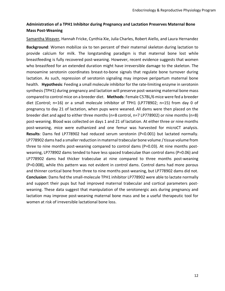#### **Administration of a TPH1 Inhibitor during Pregnancy and Lactation Preserves Maternal Bone Mass Post-Weaning**

Samantha Weaver, Hannah Fricke, Cynthia Xie, Julia Charles, Robert Aiello, and Laura Hernandez

**Background**: Women mobilize six to ten percent of their maternal skeleton during lactation to provide calcium for milk. The longstanding paradigm is that maternal bone lost while breastfeeding is fully recovered post-weaning. However, recent evidence suggests that women who breastfeed for an extended duration might have irreversible damage to the skeleton. The monoamine serotonin coordinates breast-to-bone signals that regulate bone turnover during lactation. As such, repression of serotonin signaling may improve peripartum maternal bone health. **Hypothesis**: Feeding a small molecule inhibitor for the rate-limiting enzyme in serotonin synthesis (TPH1) during pregnancy and lactation will preserve post-weaning maternal bone mass compared to control mice on a breeder diet. **Methods**: Female C57BL/6 mice were fed a breeder diet (Control; n=16) or a small molecule inhibitor of TPH1 (LP778902; n=15) from day 0 of pregnancy to day 21 of lactation, when pups were weaned. All dams were then placed on the breeder diet and aged to either three months (n=8 control, n=7 LP778902) or nine months (n=8) post-weaning. Blood was collected on days 1 and 21 of lactation. At either three or nine months post-weaning, mice were euthanized and one femur was harvested for microCT analysis. **Results**: Dams fed LP778902 had reduced serum serotonin (P<0.001) but lactated normally. LP778902 dams had a smaller reduction in maternal trabecular bone volume / tissue volume from three to nine months post-weaning compared to control dams (P=0.03). At nine months postweaning, LP778902 dams tended to have less spaced trabeculae than control dams (P=0.06) and LP778902 dams had thicker trabeculae at nine compared to three months post-weaning (P=0.008), while this pattern was not evident in control dams. Control dams had more porous and thinner cortical bone from three to nine months post-weaning, but LP778902 dams did not. **Conclusion**: Dams fed the small-molecule TPH1 inhibitor LP778902 were able to lactate normally and support their pups but had improved maternal trabecular and cortical parameters postweaning. These data suggest that manipulation of the serotonergic axis during pregnancy and lactation may improve post-weaning maternal bone mass and be a useful therapeutic tool for women at risk of irreversible lactational bone loss.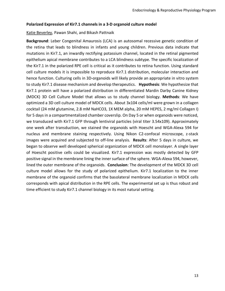#### **Polarized Expression of Kir7.1 channels in a 3-D organoid culture model**

Katie Beverley, Pawan Shahi, and Bikash Pattnaik

**Background**: Leber Congenital Amaurosis (LCA) is an autosomal recessive genetic condition of the retina that leads to blindness in infants and young children. Previous data indicate that mutations in Kir7.1, an inwardly rectifying potassium channel, located in the retinal pigmented epithelium apical membrane contributes to a LCA blindness subtype. The specific localization of the Kir7.1 in the polarized RPE cell is critical as it contributes to retina function. Using standard cell culture models it is impossible to reproduce Kir7.1 distribution, molecular interaction and hence function. Culturing cells in 3D-organoids will likely provide an appropriate in vitro system to study Kir7.1 disease mechanism and develop therapeutics. **Hypothesis**: We hypothesize that Kir7.1 protein will have a polarized distribution in differentiated Mardin Darby Canine Kidney (MDCK) 3D Cell Culture Model that allows us to study channel biology. **Methods**: We have optimized a 3D cell culture model of MDCK cells. About 3x104 cells/ml were grown in a collagen cocktail (24 mM glutamine, 2.8 mM NaHCO3, 1X MEM alpha, 20 mM HEPES, 2 mg/ml Collagen I) for 5 days in a compartmentalized chamber coverslip. On Day 5 or when organoids were noticed, we transduced with Kir7.1 GFP through lentiviral particles (viral titer 3.54x109). Approximately one week after transduction, we stained the organoids with Hoescht and WGA-Alexa 594 for nucleus and membrane staining respectively. Using Nikon C2-confocal microscope, z-stack images were acquired and subjected to off-line analysis. **Results**: After 5 days in culture, we began to observe well developed spherical organization of MDCK cell monolayer. A single layer of Hoescht positive cells could be visualized. Kir7.1 expression was mostly detected by GFP positive signal in the membrane lining the inner surface of the sphere. WGA-Alexa 594, however, lined the outer membrane of the organoids. **Conclusion**: The development of the MDCK 3D cell culture model allows for the study of polarized epithelium. Kir7.1 localization to the inner membrane of the organoid confirms that the basolateral membrane localization in MDCK cells corresponds with apical distribution in the RPE cells. The experimental set up is thus robust and time efficient to study Kir7.1 channel biology in its most natural setting.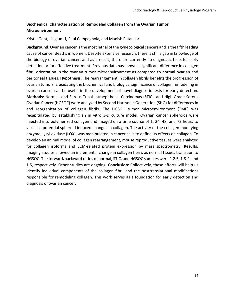#### **Biochemical Characterization of Remodeled Collagen from the Ovarian Tumor Microenvironment**

#### Kristal Gant, Lingjun Li, Paul Campagnola, and Manish Patankar

**Background**: Ovarian cancer is the most lethal of the gynecological cancers and is the fifth leading cause of cancer deaths in women. Despite extensive research, there is still a gap in knowledge of the biology of ovarian cancer, and as a result, there are currently no diagnostic tests for early detection or for effective treatment. Previous data has shown a significant difference in collagen fibril orientation in the ovarian tumor microenvironment as compared to normal ovarian and peritoneal tissues. **Hypothesis**: The rearrangement in collagen fibrils benefits the progression of ovarian tumors. Elucidating the biochemical and biological significance of collagen remodeling in ovarian cancer can be useful in the development of novel diagnostic tests for early detection. **Methods**: Normal, and Serous Tubal Intraepithelial Carcinomas (STIC), and High Grade Serous Ovarian Cancer (HGSOC) were analyzed by Second Harmonic Generation (SHG) for differences in and reorganization of collagen fibrils. The HGSOC tumor microenvironment (TME) was recapitulated by establishing an in vitro 3-D culture model. Ovarian cancer spheroids were injected into polymerized collagen and imaged on a time course of 1, 24, 48, and 72 hours to visualize potential spheroid induced changes in collagen. The activity of the collagen modifying enzyme, lysyl oxidase (LOX), was manipulated in cancer cells to define its effects on collagen. To develop an animal model of collagen rearrangement, mouse reproductive tissues were analyzed for collagen isoforms and ECM-related protein expression by mass spectrometry. **Results**: Imaging studies showed an incremental change in collagen fibrils as normal tissues transition to HGSOC. The forward/backward ratios of normal, STIC, and HGSOC samples were 2-2.5, 1.8-2, and 1.5, respectively. Other studies are ongoing. **Conclusion**: Collectively, these efforts will help us identify individual components of the collagen fibril and the posttranslational modifications responsible for remodeling collagen. This work serves as a foundation for early detection and diagnosis of ovarian cancer.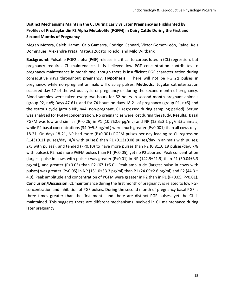#### **Distinct Mechanisms Maintain the CL During Early vs Later Pregnancy as Highlighted by Profiles of Prostaglandin F2 Alpha Metabolite (PGFM) in Dairy Cattle During the First and Second Months of Pregnancy**

Megan Mezera, Caleb Hamm, Caio Gamarra, Rodrigo Gennari, Victor Gomez-León, Rafael Reis Domingues, Alexandre Prata, Mateus Zucato Toledo, and Milo Wiltbank

**Background**: Pulsatile PGF2 alpha (PGF) release is critical to corpus luteum (CL) regression, but pregnancy requires CL maintenance. It is believed low PGF concentration contributes to pregnancy maintenance in month one, though there is insufficient PGF characterization during consecutive days throughout pregnancy. **Hypothesis**: There will not be PGF2α pulses in pregnancy, while non-pregnant animals will display pulses. **Methods**: Jugular catheterization occurred day 17 of the estrous cycle or pregnancy or during the second month of pregnancy. Blood samples were taken every two hours for 52 hours in second month pregnant animals (group P2, n=8; Days 47-61), and for 74 hours on days 18-21 of pregnancy (group P1, n=5) and the estrous cycle (group NP, n=4; non-pregnant, CL regressed during sampling period). Serum was analyzed for PGFM concentration. No pregnancies were lost during the study. **Results**: Basal PGFM was low and similar (P=0.26) in P1 (10.7 $\pm$ 2.6 pg/mL) and NP (13.3 $\pm$ 2.1 pg/mL) animals, while P2 basal concentrations (34.0±5.3 pg/mL) were much greater (P<0.001) than all cows days 18-21. On days 18-21, NP had more (P<0.001) PGFM pulses per day leading to CL regression (1.43±0.11 pulses/day; 4/4 with pulses) than P1 (0.13±0.08 pulses/day in animals with pulses;  $2/5$  with pulses), and tended (P<0.10) to have more pulses than P2 (0.81 $\pm$ 0.19 pulses/day, 7/8 with pulses). P2 had more PGFM pulses than P1 (P<0.05), yet no P2 aborted. Peak concentration (largest pulse in cows with pulses) was greater (P<0.01) in NP (142.9 $\pm$ 21.9) than P1 (30.04 $\pm$ 3.3 pg/mL), and greater (P<0.05) than P2 (67.1±5.0). Peak amplitude (largest pulse in cows with pulses) was greater (P≤0.05) in NP (131.0±33.3 pg/ml) than P1 (24.09±2.6 pg/ml) and P2 (44.3 ± 4.0). Peak amplitude and concentration of PGFM were greater in P2 than in P1 (P<0.05, P<0.01). **Conclusion/Discussion**: CL maintenance during the first month of pregnancy is related to low PGF concentration and inhibition of PGF pulses. During the second month of pregnancy basal PGF is three times greater than the first month and there are distinct PGF pulses, yet the CL is maintained. This suggests there are different mechanisms involved in CL maintenance during later pregnancy.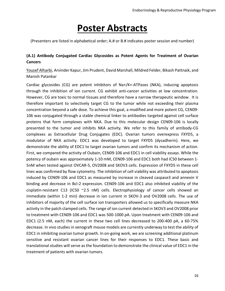### **Poster Abstracts**

(Presenters are listed in alphabetical order; A.# or B.# indicates poster session and number)

#### **(A.1) Antibody Conjugated Cardiac Glycosides as Potent Agents for Treatment of Ovarian Cancers**

Yousef Alharbi, Arvinder Kapur, Jim Prudent, David Marshall, Mildred Felder, Bikash Pattnaik, and Manish Patankar

Cardiac glycosides (CG) are potent inhibitors of Na+/K+-ATPases (NKA), inducing apoptosis through the inhibition of ion current. CG exhibit anti-cancer activities at low concentration. However, CG are toxic to normal tissues and therefore have a narrow therapeutic window. It is therefore important to selectively target CG to the tumor while not exceeding their plasma concentration beyond a safe dose. To achieve this goal, a modified and more potent CG, CEN09- 106 was conjugated through a stable chemical linker to antibodies targeted against cell surface proteins that form complexes with NKA. Due to this molecular design CEN09-106 is locally presented to the tumor and inhibits NKA activity. We refer to this family of antibody-CG complexes as Extracellular Drug Conjugates (EDC). Ovarian tumors overexpress FXYD5, a modulator of NKA activity. EDC1 was developed to target FXYD5 (dysadherin). Here, we demonstrate the ability of EDC1 to target ovarian tumors and confirm its mechanism of action. First, we compared the activity of Oubain, CEN09-106 and EDC1 in cell viability assays. While the potency of oubain was approximately 1-10 mM, CEN09-106 and EDC1 both had IC50 between 1- 5nM when tested against OVCAR-5, OV2008 and SKOV3 cells. Expression of FXYD5 in these cell lines was confirmed by flow cytometry. The inhibition of cell viability was attributed to apoptosis induced by CEN09-106 and EDC1 as measured by increase in cleaved caspase3 and annexin V binding and decrease in Bcl-2 expression. CEN09-106 and EDC1 also inhibited viability of the cisplatin-resistant C13 (IC50 ~2.5 nM) cells. Electrophysiology of cancer cells showed an immediate (within 1-2 min) decrease in ion current in SKOV-3 and OV2008 cells. The use of inhibitors of majority of the cell surface ion transporters allowed us to specifically measure NKA activity in the patch clamped cells. The range of ion current detected in SKOV3 and OV2008 prior to treatment with CEN09-106 and EDC1 was 500-1000 pA. Upon treatment with CEN09-106 and EDC1 (2.5 nM, each) the current in these two cell lines decreased to 200-400 pA, a 60-75% decrease. In vivo studies in xenograft mouse models are currently underway to test the ability of EDC1 in inhibiting ovarian tumor growth. In on-going work, we are screening additional platinum sensitive and resistant ovarian cancer lines for their responses to EDC1. These basic and translational studies will serve as the foundation to demonstrate the clinical value of EDC1 in the treatment of patients with ovarian tumors.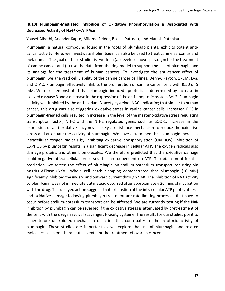#### **(B.10) Plumbagin-Mediated Inhibition of Oxidative Phosphorylation is Associated with Decreased Activity of Na+/K+-ATPAse**

#### Yousef Alharbi, Arvinder Kapur, Mildred Felder, Bikash Pattnaik, and Manish Patankar

Plumbagin, a natural compound found in the roots of plumbago plants, exhibits potent anticancer activity. Here, we investigate if plumbagin can also be used to treat canine sarcomas and melanomas. The goal of these studies is two-fold: (a) develop a novel paradigm for the treatment of canine cancer and (b) use the data from the dog model to support the use of plumbagin and its analogs for the treatment of human cancers. To investigate the anti-cancer effect of plumbagin, we analyzed cell viability of the canine cancer cell lines, Denny, Payton, 17CM, Eva, and CTAC. Plumbagin effectively inhibits the proliferation of canine cancer cells with IC50 of 5 mM. We next demonstrated that plumbagin induced apoptosis as determined by increase in cleaved caspase 3 and a decrease in the expression of the anti-apoptotic protein Bcl-2. Plumbagin activity was inhibited by the anti-oxidant N-acetylcysteine (NAC) indicating that similar to human cancer, this drug was also triggering oxidative stress in canine cancer cells. Increased ROS in plumbagin-treated cells resulted in increase in the level of the master oxidative stress regulating transcription factor, Nrf-2 and the Nrf-2 regulated genes such as SOD-1. Increase in the expression of anti-oxidative enzymes is likely a resistance mechanism to reduce the oxidative stress and attenuate the activity of plumbagin. We have determined that plumbagin increases intracellular oxygen radicals by inhibiting oxidative phosphorylation (OXPHOS). Inhibition of OXPHOS by plumbagin results in a significant decrease in cellular ATP. The oxygen radicals also damage proteins and other biomolecules. We therefore predicted that the oxidative damage could negative affect cellular processes that are dependent on ATP. To obtain proof for this prediction, we tested the effect of plumbagin on sodium-potassium transport occurring via Na+/K+-ATPase (NKA). Whole cell patch clamping demonstrated that plumbagin (10 mM) significantly inhibited the inward and outward current through NAK. The inhibition of NAK activity by plumbagin was not immediate but instead occurred after approximately 20 mins of incubation with the drug. This delayed action suggests that exhaustion of the intracellular ATP pool synthesis and oxidative damage following plumbagin treatment are rate limiting processes that have to occur before sodium-potassium transport can be affected. We are currently testing if the NaK inhibition by plumbagin can be reversed if the oxidative stress is attenuated by pretreatment of the cells with the oxygen radical scavenger, N-acetylcysteine. The results for our studies point to a heretofore unexplored mechanism of action that contributes to the cytotoxic activity of plumbagin. These studies are important as we explore the use of plumbagin and related molecules as chemotherapeutic agents for the treatment of ovarian cancer.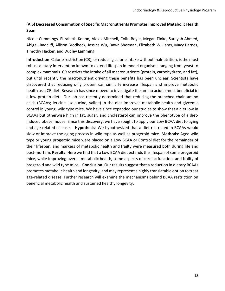#### **(A.5) Decreased Consumption of Specific Macronutrients Promotes Improved Metabolic Health Span**

Nicole Cummings, Elizabeth Konon, Alexis Mitchell, Colin Boyle, Megan Finke, Sareyah Ahmed, Abigail Radcliff, Allison Brodbeck, Jessica Wu, Dawn Sherman, Elizabeth Williams, Macy Barnes, Timothy Hacker, and Dudley Lamming

**Introduction**: Calorie restriction (CR), or reducing calorie intake without malnutrition, is the most robust dietary intervention known to extend lifespan in model organisms ranging from yeast to complex mammals. CR restricts the intake of all macronutrients (protein, carbohydrate, and fat), but until recently the macronutrient driving these benefits has been unclear. Scientists have discovered that reducing only protein can similarly increase lifespan and improve metabolic health as a CR diet. Research has since moved to investigate the amino acid(s) most beneficial in a low protein diet. Our lab has recently determined that reducing the branched-chain amino acids (BCAAs; leucine, isoleucine, valine) in the diet improves metabolic health and glycemic control in young, wild type mice. We have since expanded our studies to show that a diet low in BCAAs but otherwise high in fat, sugar, and cholesterol can improve the phenotype of a dietinduced obese mouse. Since this discovery, we have sought to apply our Low BCAA diet to aging and age-related disease. **Hypothesis**: We hypothesized that a diet restricted in BCAAs would slow or improve the aging process in wild type as well as progeroid mice. **Methods**: Aged wild type or young progeroid mice were placed on a Low BCAA or Control diet for the remainder of their lifespan, and markers of metabolic health and frailty were measured both during life and post-mortem. **Results**: Here we find that a Low BCAA diet extends the lifespan of some progeroid mice, while improving overall metabolic health, some aspects of cardiac function, and frailty of progeroid and wild type mice. **Conclusion**: Our results suggest that a reduction in dietary BCAAs promotes metabolic health and longevity, and may represent a highly translatable option to treat age-related disease. Further research will examine the mechanisms behind BCAA restriction on beneficial metabolic health and sustained healthy longevity.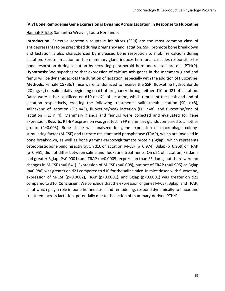#### **(A.7) Bone Remodeling Gene Expression is Dynamic Across Lactation in Response to Fluoxetine**

#### Hannah Fricke, Samantha Weaver, Laura Hernandez

**Introduction**: Selective serotonin reuptake inhibitors (SSRI) are the most common class of antidepressants to be prescribed during pregnancy and lactation. SSRI promote bone breakdown and lactation is also characterized by increased bone resorption to mobilize calcium during lactation. Serotonin action on the mammary gland induces hormonal cascades responsible for bone resorption during lactation by secreting parathyroid hormone-related protein (PTHrP). **Hypothesis**: We hypothesize that expression of calcium axis genes in the mammary gland and femur will be dynamic across the duration of lactation, especially with the addition of fluoxetine. **Methods**: Female C57B6/J mice were randomized to receive the SSRI fluoxetine hydrochloride (20 mg/kg) or saline daily beginning on d1 of pregnancy through either d10 or d21 of lactation. Dams were either sacrificed on d10 or d21 of lactation, which represent the peak and end of lactation respectively, creating the following treatments: saline/peak lactation (SP; n=8), saline/end of lactation (SE; n=3), fluoxetine/peak lactation (FP; n=8), and fluoxetine/end of lactation (FE; n=4). Mammary glands and femurs were collected and evaluated for gene expression. **Results**: PTHrP expression was greatest in FP mammary glands compared to all other groups (P=0.003). Bone tissue was analyzed for gene expression of macrophage colonystimulating factor (M-CSF) and tartrate resistant acid phosphatase (TRAP), which are involved in bone breakdown, as well as bone gamma-carboxyglutamate protein (Bglap), which represents osteoblastic bone building activity. On d10 of lactation, M-CSF (p=0.974), Bglap (p=0.969) or TRAP (p=0.951) did not differ between saline and fluoxetine treatments. On d21 of lactation, FE dams had greater Bglap (P<0.0001) and TRAP (p=0.0005) expression than SE dams, but there were no changes in M-CSF (p=0.641). Expression of M-CSF (p=0.008), but not of TRAP (p=0.995) or Bglap (p=0.986) was greater on d21 compared to d10 for the saline mice. In mice dosed with fluoxetine, expression of M-CSF (p=0.0002), TRAP (p<0.0001), and Bglap (p<0.0001) was greater on d21 compared to d10. **Conclusion**: We conclude that the expression of genes M-CSF, Bglap, and TRAP, all of which play a role in bone homeostasis and remodeling, respond dynamically to fluoxetine treatment across lactation, potentially due to the action of mammary-derived PTHrP.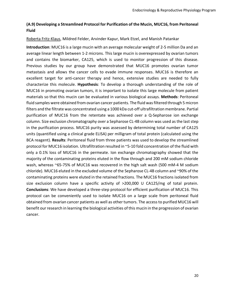#### **(A.9) Developing a Streamlined Protocol for Purification of the Mucin, MUC16, from Peritoneal Fluid**

#### Roberta Fritz-Klaus, Mildred Felder, Arvinder Kapur, Mark Etzel, and Manish Patankar

**Introduction**: MUC16 is a large mucin with an average molecular weight of 2-5 million Da and an average linear length between 1-2 microns. This large mucin is overexpressed by ovarian tumors and contains the biomarker, CA125, which is used to monitor progression of this disease. Previous studies by our group have demonstrated that MUC16 promotes ovarian tumor metastasis and allows the cancer cells to evade immune responses. MUC16 is therefore an excellent target for anti-cancer therapy and hence, extensive studies are needed to fully characterize this molecule. **Hypothesis**: To develop a thorough understanding of the role of MUC16 in promoting ovarian tumors, it is important to isolate this large molecule from patient materials so that this mucin can be evaluated in various biological assays. **Methods**: Peritoneal fluid samples were obtained from ovarian cancer patients. The fluid was filtered through 5 micron filters and the filtrate was concentrated using a 1000 kDa cut-off ultrafiltration membrane. Partial purification of MUC16 from the retentate was achieved over a Q-Sepharose ion exchange column. Size exclusion chromatography over a Sepharose CL-4B column was used as the last step in the purification process. MUC16 purity was assessed by determining total number of CA125 units (quantified using a clinical grade ELISA) per milligram of total protein (calculated using the BCA reagent). **Results**: Peritoneal fluid from three patients was used to develop the streamlined protocol for MUC16 isolation. Ultrafiltration resulted in ~5-10 fold concentration of the fluid with only a 0.1% loss of MUC16 in the permeate. Ion exchange chromatography showed that the majority of the contaminating proteins eluted in the flow through and 200 mM sodium chloride wash, whereas ~65-75% of MUC16 was recovered in the high salt wash (500 mM-4 M sodium chloride). MUC16 eluted in the excluded volume of the Sepharose CL-4B column and ~90% of the contaminating proteins were eluted in the retained fractions. The MUC16 fractions isolated from size exclusion column have a specific activity of >200,000 U CA125/mg of total protein. **Conclusions**: We have developed a three-step protocol for efficient purification of MUC16. This protocol can be conveniently used to isolate MUC16 on a large scale from peritoneal fluid obtained from ovarian cancer patients as well as other tumors. The access to purified MUC16 will benefit our research in learning the biological activities of this mucin in the progression of ovarian cancer.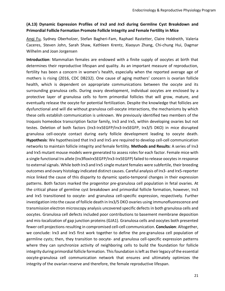#### **(A.13) Dynamic Expression Profiles of** *Irx3* **and** *Irx5* **during Germline Cyst Breakdown and Primordial Follicle Formation Promote Follicle Integrity and Female Fertility in Mice**

Anqi Fu, Sydney Oberholzer, Stefan Bagheri-Fam, Raphael Rastetter, Claire Holdreith, Valeria Caceres, Steven John, Sarah Shaw, Kathleen Krentz, Xiaoyun Zhang, Chi-chung Hui, Dagmar Wilhelm and Joan Jorgensen

**Introduction**: Mammalian females are endowed with a finite supply of oocytes at birth that determines their reproductive lifespan and quality. As an important measure of reproduction, fertility has been a concern in women's health, especially when the reported average age of mothers is rising (2016, CDC DB232). One cause of aging mothers' concern is ovarian follicle health, which is dependent on appropriate communications between the oocyte and its surrounding granulosa cells. During ovary development, individual oocytes are enclosed by a protective layer of granulosa cells to form primordial follicles that will grow, mature, and eventually release the oocyte for potential fertilization. Despite the knowledge that follicles are dysfunctional and will die without granulosa cell-oocyte interactions, the mechanisms by which these cells establish communication is unknown. We previously identified two members of the Iroquois homeobox transcription factor family, Irx3 and Irx5, within developing ovaries but not testes. Deletion of both factors (Irx3-Irx5EGFP/Irx3-Irx5EGFP, Irx3/5 DKO) in mice disrupted granulosa cell-oocyte contact during early follicle development leading to oocyte death. **Hypothesis**: We hypothesized that Irx3 and Irx5 are required to develop cell-cell communication networks to maintain follicle integrity and female fertility. **Methods and Results**: A series of Irx3 and Irx5 mutant mouse models were generated to assess roles for each factor. Female mice with a single functional Irx allele (Irx3floxIrx5EGFP/Irx3-Irx5EGFP) failed to release oocytes in response to external signals. While both Irx3 and Irx5 single mutant females were subfertile, their breeding outcomes and ovary histology indicated distinct causes. Careful analysis of Irx3- and Irx5-reporter mice linked the cause of this disparity to dynamic spatio-temporal changes in their expression patterns. Both factors marked the progenitor pre-granulosa cell population in fetal ovaries. At the critical phase of germline cyst breakdown and primordial follicle formation, however, Irx3 and Irx5 transitioned to oocyte- and granulosa cell-specific expression, respectively. Further investigation into the cause of follicle death in Irx3/5 DKO ovaries using immunofluorescence and transmission electron microscopy analysis uncovered specific defects in both granulosa cells and oocytes. Granulosa cell defects included poor contributions to basement membrane deposition and mis-localization of gap junction proteins (GJA1). Granulosa cells and oocytes both presented fewer cell projections resulting in compromised cell-cell communication. **Conclusion**: Altogether, we conclude: Irx3 and Irx5 first work together to define the pre-granulosa cell population of germline cysts; then, they transition to oocyte- and granulosa cell-specific expression patterns where they can synchronize activity of neighboring cells to build the foundation for follicle integrity during primordial follicle formation. This foundation is left as their legacy of the essential oocyte-granulosa cell communication network that ensures and ultimately optimizes the integrity of the ovarian reserve and therefore, the female reproductive lifespan.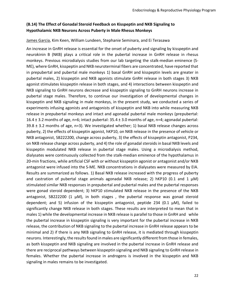#### **(B.14) The Effect of Gonadal Steroid Feedback on Kisspeptin and NKB Signaling to Hypothalamic NKB Neurons Across Puberty in Male Rhesus Monkeys**

#### James Garcia, Kim Keen, William Lundeen, Stephanie Seminara, and Ei Terasawa

An increase in GnRH release is essential for the onset of puberty and signaling by kisspeptin and neurokinin B (NKB) plays a critical role in the pubertal increase in GnRH release in rhesus monkeys. Previous microdialysis studies from our lab targeting the stalk-median eminence (S-ME), where GnRH, kisspeptin and NKB neuroterminal fibers are concentrated, have reported that in prepubertal and pubertal male monkeys 1) basal GnRH and kisspeptin levels are greater in pubertal males, 2) kisspeptin and NKB agonists stimulate GnRH release in both stages 3) NKB agonist stimulates kisspeptin release in both stages, and 4) interactions between kisspeptin and NKB signaling to GnRH neurons decrease and kisspeptin signaling to GnRH neurons increase in pubertal stage males. Therefore, to continue our investigation of developmental changes in kisspeptin and NKB signaling in male monkeys, in the present study, we conducted a series of experiments infusing agonists and antagonists of kisspeptin and NKB into while measuring NKB release in prepubertal monkeys and intact and agonadal pubertal male monkeys (prepubertal: 16.4  $\pm$  3.2 months of age, n=6; intact pubertal: 35.4  $\pm$  3.0 months of age, n=4; agonadal pubertal:  $39.8 \pm 3.2$  months of age, n=3). We investigated whether; 1) basal NKB release changes across puberty, 2) the effects of kisspeptin agonist, hKP10, on NKB release in the presence of vehicle or NKB antagonist, SB222200, change across puberty, 3) the effects of kisspeptin antagonist, P234, on NKB release change across puberty, and 4) the role of gonadal steroids in basal NKB levels and kisspeptin modulated NKB release in pubertal stage males. Using a microdialysis method, dialysates were continuously collected from the stalk-median eminence of the hypothalamus in 20-min fractions, while artificial CSF with or without kisspeptin agonist or antagonist and/or NKB antagonist were infused into the S-ME. NKB concentrations in dialysates were measured by EIA. Results are summarized as follows. 1) Basal NKB release increased with the progress of puberty and castration of pubertal stage animals agonadal NKB release; 2) hKP10 (0.1 and 1  $\mu$ M) stimulated similar NKB responses in prepubertal and pubertal males and the pubertal responses were gonad steroid dependent; 3) hKP10 stimulated NKB release in the presence of the NKB antagonist, SB222200 (1  $\mu$ M), in both stages, the pubertal response was gonad steroid dependent; and 5) infusion of the kisspeptin antagonist, peptide 234 (0.1  $\mu$ M), failed to significantly change NKB release in both stages. These results are interpreted to mean that in males 1) while the developmental increase in NKB release is parallel to those in GnRH and while the pubertal increase in kisspeptin signaling is very important for the pubertal increase in NKB release, the contribution of NKB signaling to the pubertal increase in GnRH release appears to be minimal and 2) if there is any NKB signaling to GnRH release, it is mediated through kisspeptin neurons. Interestingly, the results found in males are significantly different from those in females, as both kisspeptin and NKB signaling are involved in the pubertal increase in GnRH release and there are reciprocal pathways between kisspeptin signaling and NKB signaling to GnRH release in females. Whether the pubertal increase in androgens is involved in the kisspeptin and NKB signaling in males remains to be investigated.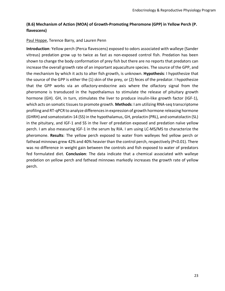#### **(B.6) Mechanism of Action (MOA) of Growth-Promoting Pheromone (GPP) in Yellow Perch (P. flavescens)**

#### Paul Hoppe, Terence Barry, and Lauren Penn

**Introduction**: Yellow perch (Perca flavescens) exposed to odors associated with walleye (Sander vitreus) predation grow up to twice as fast as non-exposed control fish. Predation has been shown to change the body conformation of prey fish but there are no reports that predators can increase the overall growth rate of an important aquaculture species. The source of the GPP, and the mechanism by which it acts to alter fish growth, is unknown. **Hypothesis**: I hypothesize that the source of the GPP is either the (1) skin of the prey, or (2) feces of the predator. I hypothesize that the GPP works via an olfactory-endocrine axis where the olfactory signal from the pheromone is transduced in the hypothalamus to stimulate the release of pituitary growth hormone (GH). GH, in turn, stimulates the liver to produce insulin-like growth factor (IGF-1), which acts on somatic tissues to promote growth. **Methods**: I am utilizing RNA-seq transcriptome profiling and RT-qPCR to analyze differences in expression of growth hormone releasing hormone (GHRH) and somatostatin-14 (SS) in the hypothalamus, GH, prolactin (PRL), and somatolactin (SL) in the pituitary, and IGF-1 and SS in the liver of predation exposed and predation naïve yellow perch. I am also measuring IGF-1 in the serum by RIA. I am using LC-MS/MS to characterize the pheromone. **Results**: The yellow perch exposed to water from walleyes fed yellow perch or fathead minnows grew 42% and 40% heavier than the control perch, respectively (P<0.01). There was no difference in weight gain between the controls and fish exposed to water of predators fed formulated diet. **Conclusion**: The data indicate that a chemical associated with walleye predation on yellow perch and fathead minnows markedly increases the growth rate of yellow perch.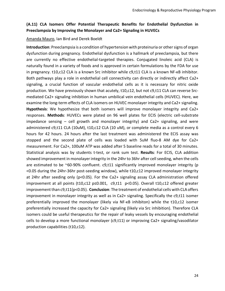#### **(A.11) CLA Isomers Offer Potential Therapeutic Benefits for Endothelial Dysfunction in Preeclampsia by Improving the Monolayer and Ca2+ Signaling in HUVECs**

#### Amanda Mauro, Ian Bird and Derek Boeldt

**Introduction**: Preeclampsia is a condition of hypertension with proteinuria or other signs of organ dysfunction during pregnancy. Endothelial dysfunction is a hallmark of preeclampsia, but there are currently no effective endothelial-targeted therapies. Conjugated linoleic acid (CLA) is naturally found in a variety of foods and is approved in certain formulations by the FDA for use in pregnancy. t10,c12 CLA is a known Src inhibitor while c9,t11 CLA is a known NF-ĸB inhibitor. Both pathways play a role in endothelial cell connectivity can directly or indirectly affect Ca2+ signaling, a crucial function of vascular endothelial cells as it is necessary for nitric oxide production. We have previously shown that acutely, t10,c12, but not c9,t11 CLA can reverse Srcmediated Ca2+ signaling inhibition in human umbilical vein endothelial cells (HUVEC). Here, we examine the long-term effects of CLA isomers on HUVEC monolayer integrity and Ca2+ signaling. **Hypothesis**: We hypothesize that both isomers will improve monolayer integrity and Ca2+ responses. **Methods**: HUVECs were plated on 96 well plates for ECIS (electric cell-substrate impedance sensing  $-$  cell growth and monolayer integrity) and Ca2+ signaling, and were administered c9,t11 CLA (10uM), t10,c12 CLA (10 uM), or complete media as a control every 6 hours for 42 hours. 24 hours after the last treatment was administered the ECIS assay was stopped and the second plate of cells was loaded with 5uM fluo-8 AM dye for Ca2+ measurement. For Ca2+, 100uM ATP was added after 5 baseline reads for a total of 30 minutes. Statistical analysis was by students t-test, or rank sum test. **Results**: For ECIS, CLA addition showed improvement in monolayer integrity in the 24hr to 36hr after cell seeding, when the cells are estimated to be  $\sim$ 60-90% confluent. c9,t11 significantly improved monolayer integrity (p <0.05 during the 24hr-36hr post-seeding window), while t10,c12 improved monolayer integrity at 24hr after seeding only (p<0.05). For the Ca2+ signaling assay CLA administration offered improvement at all points (t10,c12 p≤0.001, c9,t11 p<0.05). Overall t10,c12 offered greater improvement than c9,t11(p<0.05). **Conclusion**: The treatment of endothelial cells with CLA offers improvement in monolayer integrity as well as in Ca2+ signaling. Specifically the c9,t11 isomer preferentially improved the monolayer (likely via NF-KB inhibiton) while the t10,c12 isomer preferentially increased the capacity for Ca2+ signaling (likely via Src inhibition). Therefore CLA isomers could be useful therapeutics for the repair of leaky vessels by encouraging endothelial cells to develop a more functional monolayer (c9,t11) or improving Ca2+ signaling/vasodilator production capabilities (t10,c12).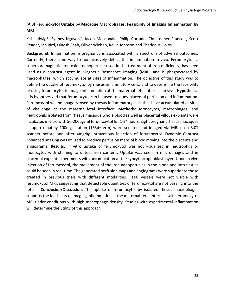#### **(A.3) Ferumoxytol Uptake by Macaque Macrophages: Feasibility of Imaging Inflammation by MRI**

Kai Ludwig\*, Sydney Nguyen\*, Jacob Macdonald, Philip Corrado, Christopher Francois, Scott Reader, Ian Bird, Dinesh Shah, Oliver Wieben, Kevin Johnson and Thaddeus Golos

**Background**: Inflammation in pregnancy is associated with a spectrum of adverse outcomes. Currently, there is no way to noninvasively detect this inflammation in vivo. Ferumoxytol, a superparamagnetic iron oxide nanoparticle used in the treatment of iron deficiency, has been used as a contrast agent in Magnetic Resonance Imaging (MRI), and is phagocytosed by macrophages, which accumulate at sites of inflammation. The objective of this study was to define the uptake of ferumoxytol by rhesus inflammatory cells, and to determine the feasibility of using ferumoxytol to image inflammation at the maternal-fetal interface in vivo. **Hypothesis**: It is hypothesized that ferumoxytol can be used to study placental perfusion and inflammation. Ferumoxytol will be phagocytosed by rhesus inflammatory cells that have accumulated at sites of challenge at the maternal-fetal interface. **Methods**: Monocytes, macrophages, and neutrophils isolated from rhesus macaque whole blood as well as placental villous explants were incubated in vitro with 50-200ug/ml ferumoxytol for 1-24 hours. Eight pregnant rhesus macaques at approximately 100d gestation (165d=term) were sedated and imaged via MRI on a 3.0T scanner before and after 4mg/kg intravenous injection of ferumoxytol. Dynamic Contrast Enhanced Imaging was utilized to produce perfusion maps of blood moving into the placenta and angiograms. **Results**: In vitro uptake of ferumoxytol was not visualized in neutrophils or monocytes with staining to detect iron content. Uptake was seen in macrophages and in placental explant experiments with accumulation at the syncytiotrophoblast layer. Upon in vivo injection of ferumoxytol, the movement of the iron nanoparticles in the blood and into tissues could be seen in real-time. The generated perfusion maps and angiograms were superior to those created in previous trials with different modalities. Fetal vessels were not visible with ferumoxytol MRI, suggesting that detectable quantities of ferumoxytol are not passing into the fetus. **Conclusion/Discussion**: The uptake of ferumoxytol by isolated rhesus macrophages supports the feasibility of imaging inflammation at the maternal-fetal interface with ferumoxytol MRI under conditions with high macrophage density. Studies with experimental inflammation will determine the utility of this approach.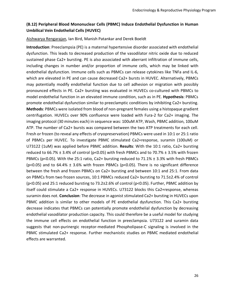#### **(B.12) Peripheral Blood Mononuclear Cells (PBMC) Induce Endothelial Dysfunction in Human Umbilical Vein Endothelial Cells (HUVEC)**

#### Aishwarya Rengarajan, Ian Bird, Manish Patankar and Derek Boeldt

**Introduction**: Preeclampsia (PE) is a maternal hypertensive disorder associated with endothelial dysfunction. This leads to decreased production of the vasodilator nitric oxide due to reduced sustained phase Ca2+ bursting. PE is also associated with aberrant infiltration of immune cells, including changes in number and/or proportion of immune cells, which may be linked with endothelial dysfunction. Immune cells such as PBMCs can release cytokines like TNFa and IL-6, which are elevated in PE and can cause decreased Ca2+ bursts in HUVEC. Alternatively, PBMCs may potentially modify endothelial function due to cell adhesion or migration with possibly pronounced effects in PE. Ca2+ bursting was evaluated in HUVECs co-cultured with PBMCs to model endothelial function in an elevated immune condition, such as in PE. **Hypothesis**: PBMCs promote endothelial dysfunction similar to preeclamptic conditions by inhibiting Ca2+ bursting. **Methods**: PBMCs were isolated from blood of non-pregnant females using a histopaque gradient centrifugation. HUVECs over 90% confluence were loaded with Fura-2 for Ca2+ imaging. The imaging protocol (30 minutes each) in sequence was: 100uM ATP, Wash, PBMC addition, 100uM ATP. The number of Ca2+ bursts was compared between the two ATP treatments for each cell. Fresh or frozen (to reveal any effects of cryopreservation) PBMCs were used in 10:1 or 25:1 ratio of PBMCs per HUVEC. To investigate PBMC stimulated Ca2+response, suramin (100uM) or U73122 (1uM) was applied before PBMC addition. **Results**: With the 10:1 ratio, Ca2+ bursting reduced to 66.7%  $\pm$  3.4% of control (p<0.05) with fresh PBMCs and to 70.7%  $\pm$  3.5% with frozen PBMCs (p<0.05). With the 25:1 ratio, Ca2+ bursting reduced to 71.1%  $\pm$  3.3% with fresh PBMCs ( $p$ <0.05) and to 64.4%  $\pm$  3.6% with frozen PBMCs ( $p$ <0.05). There is no significant difference between the fresh and frozen PBMCs on Ca2+ bursting and between 10:1 and 25:1. From data on PBMCs from two frozen sources, 10:1 PBMCs reduced Ca2+ bursting to 71.5±2.4% of control (p<0.05) and 25:1 reduced bursting to 73.2±2.6% of control (p<0.05). Further, PBMC addition by itself could stimulate a Ca2+ response in HUVECs. U73122 blocks this Ca2+response, whereas suramin does not. **Conclusion**: The decrease in agonist stimulated Ca2+ bursting in HUVECs upon PBMC addition is similar to other models of PE endothelial dysfunction. This Ca2+ bursting decrease indicates that PBMCs can potentially promote endothelial dysfunction by decreasing endothelial vasodilator production capacity. This could therefore be a useful model for studying the immune cell effects on endothelial function in preeclampsia. U73122 and suramin data suggests that non-purinergic receptor-mediated Phospholipase-C signaling is involved in the PBMC stimulated Ca2+ response. Further mechanistic studies on PBMC mediated endothelial effects are warranted.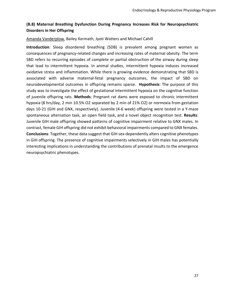#### **(B.8) Maternal Breathing Dysfunction During Pregnancy Increases Risk for Neuropsychiatric Disorders in Her Offspring**

#### Amanda Vanderplow, Bailey Kermath, Jyoti Watters and Michael Cahill

**Introduction**: Sleep disordered breathing (SDB) is prevalent among pregnant women as consequences of pregnancy-related changes and increasing rates of maternal obesity. The term SBD refers to recurring episodes of complete or partial obstruction of the airway during sleep that lead to intermittent hypoxia. In animal studies, intermittent hypoxia induces increased oxidative stress and inflammation. While there is growing evidence demonstrating that SBD is associated with adverse maternal-fetal pregnancy outcomes, the impact of SBD on neurodevelopmental outcomes in offspring remains sparse. **Hypothesis**: The purpose of this study was to investigate the effect of gestational intermittent hypoxia on the cognitive function of juvenile offspring rats. **Methods**: Pregnant rat dams were exposed to chronic intermittent hypoxia (8 hrs/day, 2 min 10.5% O2 separated by 2 min of 21% O2) or normoxia from gestation days 10-21 (GIH and GNX, respectively). Juvenile (4-6 week) offspring were tested in a Y-maze spontaneous alternation task, an open field task, and a novel object recognition test. **Results**: Juvenile GIH male offspring showed patterns of cognitive impairment relative to GNX males. In contrast, female GIH offspring did not exhibit behavioral impairments compared to GNX females. **Conclusions**: Together, these data suggest that GIH sex-dependently alters cognitive phenotypes in GIH offspring. The presence of cognitive impairments selectively in GIH males has potentially interesting implications in understanding the contributions of prenatal insults to the emergence neuropsychiatric phenotypes.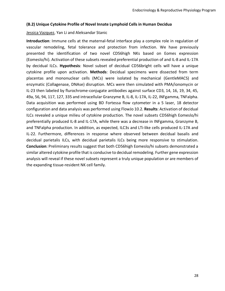#### **(B.2) Unique Cytokine Profile of Novel Innate Lymphoid Cells in Human Decidua**

#### Jessica Vazquez, Yan Li and Aleksandar Stanic

**Introduction**: Immune cells at the maternal-fetal interface play a complex role in regulation of vascular remodeling, fetal tolerance and protection from infection. We have previously presented the identification of two novel CD56high NKs based on Eomes expression (Eomeslo/hi). Activation of these subsets revealed preferential production of and IL-8 and IL-17A by decidual ILCs. **Hypothesis**: Novel subset of decidual CD56bright cells will have a unique cytokine profile upon activation. **Methods**: Decidual specimens were dissected from term placentas and mononuclear cells (MCs) were isolated by mechanical (GentleMACS) and enzymatic (Collagenase, DNAse) disruption. MCs were then simulated with PMA/ionomycin or IL-23 then labeled by flurochrome-conjugate antibodies against surface CD3, 14, 16, 19, 34, 45, 49a, 56, 94, 117, 127, 335 and intracellular Granzyme B, IL-8, IL-17A, IL-22, INFgamma, TNFalpha. Data acquisition was performed using BD Fortessa flow cytometer in a 5 laser, 18 detector configuration and data analysis was performed using FlowJo 10.2. **Results**: Activation of decidual ILCs revealed a unique milieu of cytokine production. The novel subsets CD56high Eomeslo/hi preferentially produced IL-8 and IL-17A, while there was a decrease in INFgamma, Granzyme B, and TNFalpha production. In addition, as expected, ILC3s and LTi-like cells produced IL-17A and IL-22. Furthermore, differences in response where observed between decidual basalis and decidual parietalis ILCs, with decidual parietalis ILCs being more responsive to stimulation. **Conclusion**: Preliminary results suggest that both CD56high Eomeslo/hi subsets demonstrated a similar altered cytokine profile that is conducive to decidual remodeling. Further gene expression analysis will reveal if these novel subsets represent a truly unique population or are members of the expanding tissue-resident NK cell family.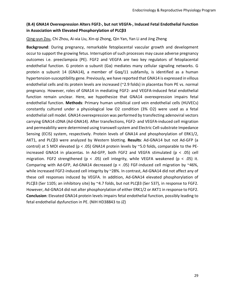#### **(B.4) GNA14 Overexpression Alters FGF2-, but not VEGFA-, Induced Fetal Endothelial Function in Association with Elevated Phosphorylation of PLCβ3**

#### Qing-yun Zou, Chi Zhou, Ai-xia Liu, Xin-qi Zhong, Qin Yan, Yan Li and Jing Zheng

**Background**: During pregnancy, remarkable fetoplacental vascular growth and development occur to support the growing fetus. Interruption of such processes may cause adverse pregnancy outcomes i.e. preeclampsia (PE). FGF2 and VEGFA are two key regulators of fetoplacental endothelial function. G protein α subunit (Gα) mediates many cellular signaling networks. G protein  $\alpha$  subunit 14 (GNA14), a member of G $\alpha q/11$  subfamily, is identified as a human hypertension-susceptibility gene. Previously, we have reported that GNA14 is expressed in villous endothelial cells and its protein levels are increased (~2.9 folds) in placentas from PE vs. normal pregnancy. However, roles of GNA14 in mediating FGF2- and VEGFA-induced fetal endothelial function remain unclear. Here, we hypothesize that GNA14 overexpression impairs fetal endothelial function. **Methods**: Primary human umbilical cord vein endothelial cells (HUVECs) constantly cultured under a physiological low O2 condition (3% O2) were used as a fetal endothelial cell model. GNA14 overexpression was performed by transfecting adenoviral vectors carrying GNA14 cDNA (Ad-GNA14). After transfections, FGF2- and VEGFA-induced cell migration and permeability were determined using transwell system and Electric Cell-substrate Impedance Sensing (ECIS) system, respectively. Protein levels of GNA14 and phosphorylation of ERK1/2, AKT1, and PLCβ3 were analyzed by Western blotting. **Results**: Ad-GNA14 but not Ad-GFP (a control) at 5 MOI elevated ( $p < .05$ ) GNA14 protein levels by  $\sim$  5.0 folds, comparable to the PEincreased GNA14 in placentas. In Ad-GFP, both FGF2 and VEGFA stimulated ( $p < .05$ ) cell migration. FGF2 strengthened ( $p < .05$ ) cell integrity, while VEGFA weakened ( $p < .05$ ) it. Comparing with Ad-GFP, Ad-GNA14 decreased ( $p < .05$ ) FGF-induced cell migration by ~46%, while increased FGF2-induced cell integrity by ~28%. In contrast, Ad-GNA14 did not affect any of these cell responses induced by VEGFA. In addition, Ad-GNA14 elevated phosphorylation of PLCβ3 (Ser 1105; an inhibitory site) by ~4.7 folds, but not PLCβ3 (Ser 537), in response to FGF2. However, Ad-GNA14 did not alter phosphorylation of either ERK1/2 or AKT1 in response to FGF2. **Conclusion**: Elevated GNA14 protein levels impairs fetal endothelial function, possibly leading to fetal endothelial dysfunction in PE. (NIH HD38843 to JZ)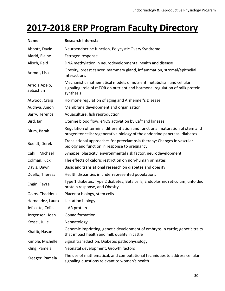### **2017-2018 ERP Program Faculty Directory**

| <b>Name</b>                 | <b>Research Interests</b>                                                                                                                                       |
|-----------------------------|-----------------------------------------------------------------------------------------------------------------------------------------------------------------|
| Abbott, David               | Neuroendocrine function, Polycystic Ovary Syndrome                                                                                                              |
| Alarid, Elaine              | Estrogen response                                                                                                                                               |
| Alisch, Reid                | DNA methylation in neurodevelopmental health and disease                                                                                                        |
| Arendt, Lisa                | Obesity, breast cancer, mammary gland, inflammation, stromal/epithelial<br>interactions                                                                         |
| Arriola Apelo,<br>Sebastian | Mechanistic mathematical models of nutrient metabolism and cellular<br>signaling; role of mTOR on nutrient and hormonal regulation of milk protein<br>synthesis |
| Atwood, Craig               | Hormone regulation of aging and Alzheimer's Disease                                                                                                             |
| Audhya, Anjon               | Membrane development and organization                                                                                                                           |
| Barry, Terence              | Aquaculture, fish reproduction                                                                                                                                  |
| Bird, Ian                   | Uterine blood flow, eNOS activation by Ca <sup>2+</sup> and kinases                                                                                             |
| Blum, Barak                 | Regulation of terminal differentiation and functional maturation of stem and<br>progenitor cells; regenerative biology of the endocrine pancreas; diabetes      |
| Boeldt, Derek               | Translational approaches for preeclampsia therapy; Changes in vascular<br>biology and function in response to pregnancy                                         |
| Cahill, Michael             | Synapse, plasticity, environmental risk factor, neurodevelopment                                                                                                |
| Colman, Ricki               | The effects of caloric restriction on non-human primates                                                                                                        |
| Davis, Dawn                 | Basic and translational research on diabetes and obesity                                                                                                        |
| Duello, Theresa             | Health disparities in underrepresented populations                                                                                                              |
| Engin, Feyza                | Type 1 diabetes, Type 2 diabetes, Beta cells, Endoplasmic reticulum, unfolded<br>protein response, and Obesity                                                  |
| Golos, Thaddeus             | Placenta biology, stem cells                                                                                                                                    |
| Hernandez, Laura            | Lactation biology                                                                                                                                               |
| Jefcoate, Colin             | stAR protein                                                                                                                                                    |
| Jorgensen, Joan             | <b>Gonad formation</b>                                                                                                                                          |
| Kessel, Julie               | Neonatology                                                                                                                                                     |
| Khatib, Hasan               | Genomic imprinting, genetic development of embryos in cattle; genetic traits<br>that impact health and milk quality in cattle                                   |
| Kimple, Michelle            | Signal transduction, Diabetes pathophysiology                                                                                                                   |
| Kling, Pamela               | Neonatal development, Growth factors                                                                                                                            |
| Kreeger, Pamela             | The use of mathematical, and computational techniques to address cellular<br>signaling questions relevant to women's health                                     |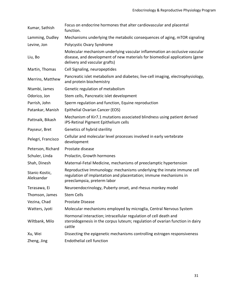| Kumar, Sathish               | Focus on endocrine hormones that alter cardiovascular and placental<br>function.                                                                                                           |
|------------------------------|--------------------------------------------------------------------------------------------------------------------------------------------------------------------------------------------|
| Lamming, Dudley              | Mechanisms underlying the metabolic consequences of aging, mTOR signaling                                                                                                                  |
| Levine, Jon                  | Polycystic Ovary Syndrome                                                                                                                                                                  |
| Liu, Bo                      | Molecular mechanism underlying vascular inflammation an occlusive vascular<br>disease, and development of new materials for biomedical applications (gene<br>delivery and vascular grafts) |
| Martin, Thomas               | Cell Signaling, neuropeptides                                                                                                                                                              |
| Merrins, Matthew             | Pancreatic islet metabolism and diabetes; live-cell imaging, electrophysiology,<br>and protein biochemistry                                                                                |
| Ntambi, James                | Genetic regulation of metabolism                                                                                                                                                           |
| Odorico, Jon                 | Stem cells, Pancreatic islet development                                                                                                                                                   |
| Parrish, John                | Sperm regulation and function, Equine reproduction                                                                                                                                         |
| Patankar, Manish             | Epithelial Ovarian Cancer (EOS)                                                                                                                                                            |
| Pattnaik, Bikash             | Mechanism of Kir7.1 mutations associated blindness using patient derived<br>iPS-Retinal Pigment Epithelium cells                                                                           |
| Payseur, Bret                | Genetics of hybrid sterility                                                                                                                                                               |
| Pelegri, Francisco           | Cellular and molecular level processes involved in early vertebrate<br>development                                                                                                         |
| Peterson, Richard            | Prostate disease                                                                                                                                                                           |
| Schuler, Linda               | Prolactin, Growth hormones                                                                                                                                                                 |
| Shah, Dinesh                 | Maternal-Fetal Medicine, mechanisms of preeclamptic hypertension                                                                                                                           |
| Stanic-Kostic,<br>Aleksandar | Reproductive Immunology: mechanisms underlying the innate immune cell<br>regulation of implantation and placentation; immune mechanisms in<br>preeclampsia, preterm labor                  |
| Terasawa, Ei                 | Neuroendocrinology, Puberty onset, and rhesus monkey model                                                                                                                                 |
| Thomson, James               | <b>Stem Cells</b>                                                                                                                                                                          |
| Vezina, Chad                 | Prostate Disease                                                                                                                                                                           |
| Watters, Jyoti               | Molecular mechanisms employed by microglia, Central Nervous System                                                                                                                         |
| Wiltbank, Milo               | Hormonal interaction; intracellular regulation of cell death and<br>steroidogenesis in the corpus luteum; regulation of ovarian function in dairy<br>cattle                                |
| Xu, Wei                      | Dissecting the epigenetic mechanisms controlling estrogen responsiveness                                                                                                                   |
| Zheng, Jing                  | Endothelial cell function                                                                                                                                                                  |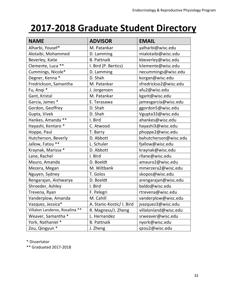# **2017-2018 Graduate Student Directory**

| <b>NAME</b>                    | <b>ADVISOR</b>            | <b>EMAIL</b>          |
|--------------------------------|---------------------------|-----------------------|
| Alharbi, Yousef*               | M. Patankar               | yalharbi@wisc.edu     |
| Alotaibi, Mohammed             | D. Lamming                | mialotaibi@wisc.edu   |
| Beverley, Katie                | <b>B. Pattnaik</b>        | kbeverley@wisc.edu    |
| Clemente, Luca **              | I. Bird (P. Bertics)      | Iclemente@wisc.edu    |
| Cummings, Nicole*              | D. Lamming                | necummings@wisc.edu   |
| Degner, Kenna *                | D. Shah                   | korgan@wisc.edu       |
| Fredrickson, Samantha          | M. Patankar               | sfredrickso2@wisc.edu |
| Fu, Angi *                     | J. Jorgensen              | afu2@wisc.edu         |
| Gant, Kristal                  | M. Patankar               | kgant@wisc.edu        |
| Garcia, James *                | E. Terasawa               | jamesgarcia@wisc.edu  |
| Gordon, Geoffrey               | D. Shah                   | ggordon5@wisc.edu     |
| Gupta, Vivek                   | D. Shah                   | Vgupta33@wisc.edu     |
| Hankes, Amanda **              | I. Bird                   | ahankes@wisc.edu      |
| Hayashi, Kentaro *             | C. Atwood                 | hayashi3@wisc.edu     |
| Hoppe, Paul                    | T. Barry                  | phoppe2@wisc.edu      |
| Hutcherson, Beverly            | D. Abbott                 | bahutcherson@wisc.edu |
| Jallow, Fatou **               | L. Schuler                | fjallow@wisc.edu      |
| Kraynak, Marissa *             | D. Abbott                 | kraynak@wisc.edu      |
| Lane, Rachel                   | I. Bird                   | rllane@wisc.edu       |
| Mauro, Amanda                  | D. Boeldt                 | amauro2@wisc.edu      |
| Mezera, Megan                  | M. Wiltbank               | mmerzera2@wisc.edu    |
| Nguyen, Sydney                 | T. Golos                  | skopos@wisc.edu       |
| Rengarajan, Aishwarya          | D. Boeldt                 | arengarajan@wisc.edu  |
| Shroeder, Ashley               | I. Bird                   | baldo@wisc.edu        |
| Trevena, Ryan                  | F. Pelegri                | rtrevena@wisc.edu     |
| Vanderplow, Amanda             | M. Cahill                 | vanderplow@wisc.edu   |
| Vazquez, Jessica*              | A. Stanic-Kostic/ I. Bird | jvazquez3@wisc.edu    |
| Villalon Landeros, Rosalina ** | R. Magness/J. Zheng       | villalonland@wisc.edu |
| Weaver, Samantha *             | L. Hernandez              | srweaver@wisc.edu     |
| York, Nathaniel *              | <b>B. Pattnaik</b>        | nyork@wisc.edu        |
| Zou, Qingyun *                 | J. Zheng                  | gzou2@wisc.edu        |

\* Dissertator

\*\* Graduated 2017-2018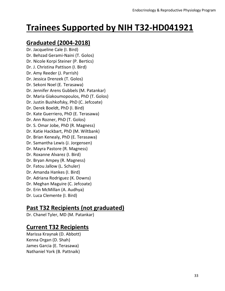### **Trainees Supported by NIH T32-HD041921**

### **Graduated (2004-2018)**

Dr. Jacqueline Cale (I. Bird) Dr. Behzad Gerami-Naini (T. Golos) Dr. Nicole Korpi Steiner (P. Bertics) Dr. J. Christina Pattison (I. Bird) Dr. Amy Reeder (J. Parrish) Dr. Jessica Drenzek (T. Golos) Dr. Sekoni Noel (E. Terasawa) Dr. Jennifer Arens Gubbels (M. Patankar) Dr. Maria Giakoumopoulos, PhD (T. Golos) Dr. Justin Bushkofsky, PhD (C. Jefcoate) Dr. Derek Boeldt, PhD (I. Bird) Dr. Kate Guerriero, PhD (E. Terasawa) Dr. Ann Rozner, PhD (T. Golos) Dr. S. Omar Jobe, PhD (R. Magness) Dr. Katie Hackbart, PhD (M. Wiltbank) Dr. Brian Kenealy, PhD (E. Terasawa) Dr. Samantha Lewis (J. Jorgensen) Dr. Mayra Pastore (R. Magness) Dr. Roxanne Alvarez (I. Bird) Dr. Bryan Ampey (R. Magness) Dr. Fatou Jallow (L. Schuler) Dr. Amanda Hankes (I. Bird) Dr. Adriana Rodriguez (K. Downs) Dr. Meghan Maguire (C. Jefcoate) Dr. Erin McMillan (A. Audhya) Dr. Luca Clemente (I. Bird)

### **Past T32 Recipients (not graduated)**

Dr. Chanel Tyler, MD (M. Patankar)

### **Current T32 Recipients**

Marissa Kraynak (D. Abbott) Kenna Organ (D. Shah) James Garcia (E. Terasawa) Nathaniel York (B. Pattnaik)